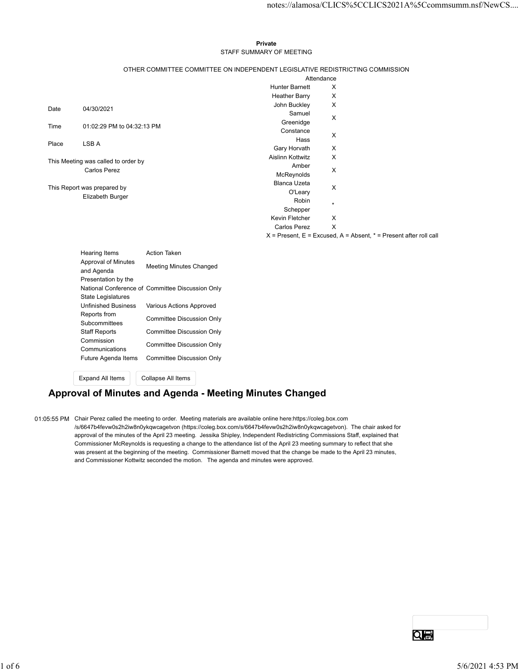#### Private **Private** and *Private* and *Private* and *Private* and *Private* and *Private* and *Private* and *Private* and *Private* and *Private* and *Private* and *Private* and *Private* and *Private* and *Private* and *Pri* STAFF SUMMARY OF MEETING

|                                                          |                                                            |                                                                               |                            |                 | notes://alamosa/CLICS%5CCLICS2021A%5Ccommsumm.nsf/NewCS               |  |
|----------------------------------------------------------|------------------------------------------------------------|-------------------------------------------------------------------------------|----------------------------|-----------------|-----------------------------------------------------------------------|--|
|                                                          |                                                            |                                                                               |                            |                 |                                                                       |  |
|                                                          |                                                            |                                                                               |                            |                 |                                                                       |  |
|                                                          |                                                            |                                                                               | Private                    |                 |                                                                       |  |
|                                                          |                                                            |                                                                               | STAFF SUMMARY OF MEETING   |                 |                                                                       |  |
|                                                          |                                                            | OTHER COMMITTEE COMMITTEE ON INDEPENDENT LEGISLATIVE REDISTRICTING COMMISSION |                            |                 |                                                                       |  |
|                                                          |                                                            |                                                                               | <b>Hunter Barnett</b>      | Attendance<br>X |                                                                       |  |
|                                                          |                                                            |                                                                               | <b>Heather Barry</b>       | X               |                                                                       |  |
| Date                                                     | 04/30/2021                                                 |                                                                               | John Buckley               | X               |                                                                       |  |
|                                                          |                                                            |                                                                               | Samuel<br>Greenidge        | X               |                                                                       |  |
| Time                                                     | 01:02:29 PM to 04:32:13 PM                                 |                                                                               | Constance                  | X               |                                                                       |  |
| Place                                                    | LSB A                                                      |                                                                               | Hass<br>Gary Horvath       | Х               |                                                                       |  |
|                                                          |                                                            |                                                                               | Aislinn Kottwitz           | X               |                                                                       |  |
|                                                          | This Meeting was called to order by<br><b>Carlos Perez</b> |                                                                               | Amber                      | X               |                                                                       |  |
|                                                          |                                                            |                                                                               | McReynolds<br>Blanca Uzeta |                 |                                                                       |  |
|                                                          | This Report was prepared by<br>Elizabeth Burger            |                                                                               | O'Leary                    | X               |                                                                       |  |
|                                                          |                                                            |                                                                               | Robin                      | $\star$         |                                                                       |  |
|                                                          |                                                            |                                                                               | Schepper<br>Kevin Fletcher | X               |                                                                       |  |
|                                                          |                                                            |                                                                               | <b>Carlos Perez</b>        | X               |                                                                       |  |
|                                                          |                                                            |                                                                               |                            |                 | $X$ = Present, E = Excused, A = Absent, $*$ = Present after roll call |  |
|                                                          | Hearing Items                                              | <b>Action Taken</b>                                                           |                            |                 |                                                                       |  |
|                                                          | Approval of Minutes<br>and Agenda<br>Presentation by the   | Meeting Minutes Changed                                                       |                            |                 |                                                                       |  |
|                                                          |                                                            | National Conference of Committee Discussion Only                              |                            |                 |                                                                       |  |
|                                                          | State Legislatures<br><b>Unfinished Business</b>           | Various Actions Approved                                                      |                            |                 |                                                                       |  |
|                                                          | Reports from                                               | <b>Committee Discussion Only</b>                                              |                            |                 |                                                                       |  |
|                                                          | Subcommittees<br><b>Staff Reports</b>                      | Committee Discussion Only                                                     |                            |                 |                                                                       |  |
|                                                          | Commission                                                 | <b>Committee Discussion Only</b>                                              |                            |                 |                                                                       |  |
|                                                          | Communications<br>Future Agenda Items                      | Committee Discussion Only                                                     |                            |                 |                                                                       |  |
|                                                          | <b>Expand All Items</b>                                    | Collapse All Items                                                            |                            |                 |                                                                       |  |
| Approval of Minutes and Agenda - Meeting Minutes Changed |                                                            |                                                                               |                            |                 |                                                                       |  |

| <b>Hearing Items</b>              | <b>Action Taken</b>                              |
|-----------------------------------|--------------------------------------------------|
| Approval of Minutes<br>and Agenda | <b>Meeting Minutes Changed</b>                   |
| Presentation by the               |                                                  |
|                                   | National Conference of Committee Discussion Only |
| State Legislatures                |                                                  |
| <b>Unfinished Business</b>        | Various Actions Approved                         |
| Reports from                      | Committee Discussion Only                        |
| Subcommittees                     |                                                  |
| <b>Staff Reports</b>              | Committee Discussion Only                        |
| Commission                        | Committee Discussion Only                        |
| Communications                    |                                                  |
| Future Agenda Items               | Committee Discussion Only                        |
|                                   |                                                  |

# Approval of Minutes and Agenda - Meeting Minutes Changed

01:05:55 PM Chair Perez called the meeting to order. Meeting materials are available online here:https://coleg.box.com /s/6647b4fevw0s2h2iw8n0ykqwcagetvon (https://coleg.box.com/s/6647b4fevw0s2h2iw8n0ykqwcagetvon). The chair asked for approval of the minutes of the April 23 meeting. Jessika Shipley, Independent Redistricting Commissions Staff, explained that Commissioner McReynolds is requesting a change to the attendance list of the April 23 meeting summary to reflect that she was present at the beginning of the meeting. Commissioner Barnett moved that the change be made to the April 23 minutes, and Commissioner Kottwitz seconded the motion. The agenda and minutes were approved. was present at the beginning of the meeting. Commissioner Bannelt moved that the change be made to the April 23 minutes,<br>ned Commissioner Kottwitz seconded the motion. The agends and minutes were approved.<br> $\frac{1}{2}$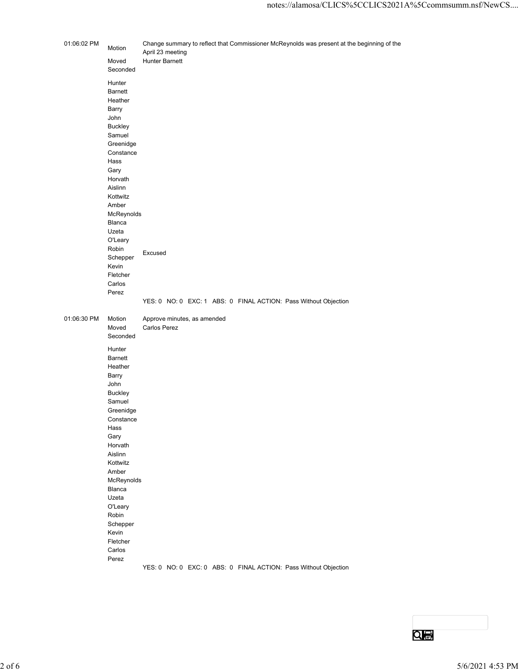| 01:06:02 PM<br>Change summary to reflect that Commissioner McReynolds was present at the beginning of the<br>Motion<br>April 23 meeting<br><b>Hunter Barnett</b><br>Moved<br>Seconded<br>Hunter<br>Barnett<br>Heather<br>Barry<br>John<br>Buckley<br>Samuel<br>Greenidge<br>Constance<br>Hass<br>Gary<br>Horvath<br>Aislinn<br>Kottwitz<br>Amber<br>McReynolds<br>Blanca<br>Uzeta<br>O'Leary<br>Robin<br>Excused<br>Schepper<br>Kevin<br>Fletcher<br>Carlos<br>Perez<br>YES: 0 NO: 0 EXC: 1 ABS: 0 FINAL ACTION: Pass Without Objection<br>01:06:30 PM<br>Approve minutes, as amended<br>Motion<br>Carlos Perez<br>Moved<br>Seconded<br>Hunter<br>Barnett<br>Heather<br>Barry<br>John<br>Buckley<br>Samuel<br>Greenidge<br>Constance<br>Hass<br>Gary<br>Horvath<br>Aislinn<br>Kottwitz<br>Amber<br>McReynolds<br>Blanca<br>Uzeta<br>O'Leary<br>Robin<br>Schepper<br>Kevin<br>Fletcher<br>Carlos<br>Perez<br>YES: 0 NO: 0 EXC: 0 ABS: 0 FINAL ACTION: Pass Without Objection |          |  | notes://alamosa/CLICS%5CCLICS2021A%5Ccommsumm.nsf/NewCS |
|-----------------------------------------------------------------------------------------------------------------------------------------------------------------------------------------------------------------------------------------------------------------------------------------------------------------------------------------------------------------------------------------------------------------------------------------------------------------------------------------------------------------------------------------------------------------------------------------------------------------------------------------------------------------------------------------------------------------------------------------------------------------------------------------------------------------------------------------------------------------------------------------------------------------------------------------------------------------------------|----------|--|---------------------------------------------------------|
|                                                                                                                                                                                                                                                                                                                                                                                                                                                                                                                                                                                                                                                                                                                                                                                                                                                                                                                                                                             |          |  |                                                         |
|                                                                                                                                                                                                                                                                                                                                                                                                                                                                                                                                                                                                                                                                                                                                                                                                                                                                                                                                                                             |          |  |                                                         |
|                                                                                                                                                                                                                                                                                                                                                                                                                                                                                                                                                                                                                                                                                                                                                                                                                                                                                                                                                                             |          |  |                                                         |
|                                                                                                                                                                                                                                                                                                                                                                                                                                                                                                                                                                                                                                                                                                                                                                                                                                                                                                                                                                             | $2$ of 6 |  | 5/6/2021 4:53 PM                                        |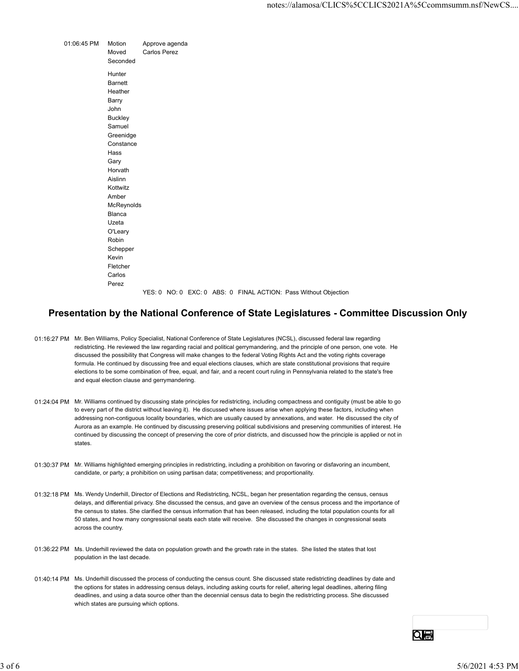|             |                             |                                                                 |  |  | notes://alamosa/CLICS%5CCLICS2021A%5 |  |  |
|-------------|-----------------------------|-----------------------------------------------------------------|--|--|--------------------------------------|--|--|
|             |                             |                                                                 |  |  |                                      |  |  |
| 01:06:45 PM | Motion<br>Moved<br>Seconded | Approve agenda<br>Carlos Perez                                  |  |  |                                      |  |  |
|             | Hunter                      |                                                                 |  |  |                                      |  |  |
|             | <b>Barnett</b>              |                                                                 |  |  |                                      |  |  |
|             | Heather<br>Barry            |                                                                 |  |  |                                      |  |  |
|             | John                        |                                                                 |  |  |                                      |  |  |
|             | Buckley                     |                                                                 |  |  |                                      |  |  |
|             | Samuel                      |                                                                 |  |  |                                      |  |  |
|             | Greenidge                   |                                                                 |  |  |                                      |  |  |
|             | Constance                   |                                                                 |  |  |                                      |  |  |
|             | Hass                        |                                                                 |  |  |                                      |  |  |
|             | Gary                        |                                                                 |  |  |                                      |  |  |
|             | Horvath<br>Aislinn          |                                                                 |  |  |                                      |  |  |
|             | Kottwitz                    |                                                                 |  |  |                                      |  |  |
|             | Amber                       |                                                                 |  |  |                                      |  |  |
|             | McReynolds                  |                                                                 |  |  |                                      |  |  |
|             | Blanca                      |                                                                 |  |  |                                      |  |  |
|             | Uzeta                       |                                                                 |  |  |                                      |  |  |
|             | O'Leary                     |                                                                 |  |  |                                      |  |  |
|             | Robin                       |                                                                 |  |  |                                      |  |  |
|             | Schepper                    |                                                                 |  |  |                                      |  |  |
|             | Kevin                       |                                                                 |  |  |                                      |  |  |
|             | Fletcher                    |                                                                 |  |  |                                      |  |  |
|             | Carlos<br>Perez             |                                                                 |  |  |                                      |  |  |
|             |                             |                                                                 |  |  |                                      |  |  |
|             |                             | YES: 0 NO: 0 EXC: 0 ABS: 0 FINAL ACTION: Pass Without Objection |  |  |                                      |  |  |

### Presentation by the National Conference of State Legislatures - Committee Discussion Only

- 01:16:27 PM Mr. Ben Williams, Policy Specialist, National Conference of State Legislatures (NCSL), discussed federal law regarding redistricting. He reviewed the law regarding racial and political gerrymandering, and the principle of one person, one vote. He discussed the possibility that Congress will make changes to the federal Voting Rights Act and the voting rights coverage formula. He continued by discussing free and equal elections clauses, which are state constitutional provisions that require elections to be some combination of free, equal, and fair, and a recent court ruling in Pennsylvania related to the state's free and equal election clause and gerrymandering.
- 01:24:04 PM Mr. Williams continued by discussing state principles for redistricting, including compactness and contiguity (must be able to go to every part of the district without leaving it). He discussed where issues arise when applying these factors, including when addressing non-contiguous locality boundaries, which are usually caused by annexations, and water. He discussed the city of Aurora as an example. He continued by discussing preserving political subdivisions and preserving communities of interest. He continued by discussing the concept of preserving the core of prior districts, and discussed how the principle is applied or not in states.
- 01:30:37 PM Mr. Williams highlighted emerging principles in redistricting, including a prohibition on favoring or disfavoring an incumbent, candidate, or party; a prohibition on using partisan data; competitiveness; and proportionality.
- 01:32:18 PM Ms. Wendy Underhill, Director of Elections and Redistricting, NCSL, began her presentation regarding the census, census delays, and differential privacy. She discussed the census, and gave an overview of the census process and the importance of the census to states. She clarified the census information that has been released, including the total population counts for all 50 states, and how many congressional seats each state will receive. She discussed the changes in congressional seats across the country. 3 of 50.37 PM Mx. Williams highlighted ennerging principles in restativiting, including a probabiliton cen favoring or distreventing an incumbent, candidate, or party, a probabiliton cen using partisan data; competitivenes
	- 01:36:22 PM Ms. Underhill reviewed the data on population growth and the growth rate in the states. She listed the states that lost population in the last decade.
	- 01:40:14 PM Ms. Underhill discussed the process of conducting the census count. She discussed state redistricting deadlines by date and the options for states in addressing census delays, including asking courts for relief, altering legal deadlines, altering filing deadlines, and using a data source other than the decennial census data to begin the redistricting process. She discussed which states are pursuing which options.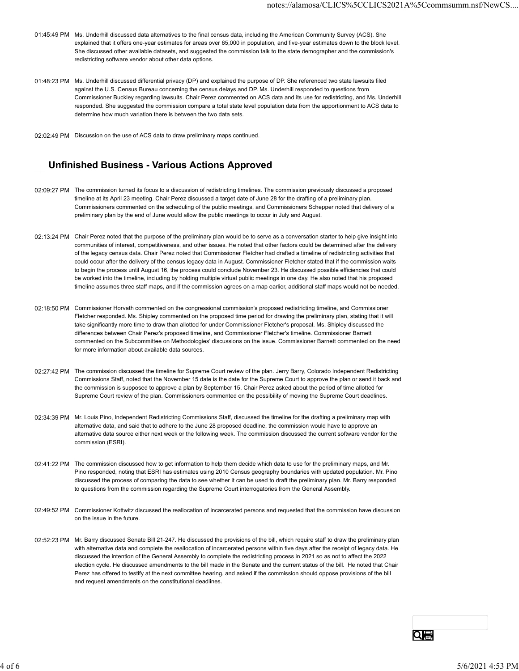- 01:45:49 PM Ms. Underhill discussed data alternatives to the final census data, including the American Community Survey (ACS). She explained that it offers one-year estimates for areas over 65,000 in population, and five-year estimates down to the block level. She discussed other available datasets, and suggested the commission talk to the state demographer and the commission's redistricting software vendor about other data options.
- 01:48:23 PM Ms. Underhill discussed differential privacy (DP) and explained the purpose of DP. She referenced two state lawsuits filed against the U.S. Census Bureau concerning the census delays and DP. Ms. Underhill responded to questions from Commissioner Buckley regarding lawsuits. Chair Perez commented on ACS data and its use for redistricting, and Ms. Underhill responded. She suggested the commission compare a total state level population data from the apportionment to ACS data to determine how much variation there is between the two data sets.
- 02:02:49 PM Discussion on the use of ACS data to draw preliminary maps continued.

#### Unfinished Business - Various Actions Approved

- 02:09:27 PM The commission turned its focus to a discussion of redistricting timelines. The commission previously discussed a proposed timeline at its April 23 meeting. Chair Perez discussed a target date of June 28 for the drafting of a preliminary plan. Commissioners commented on the scheduling of the public meetings, and Commissioners Schepper noted that delivery of a preliminary plan by the end of June would allow the public meetings to occur in July and August.
- 02:13:24 PM Chair Perez noted that the purpose of the preliminary plan would be to serve as a conversation starter to help give insight into communities of interest, competitiveness, and other issues. He noted that other factors could be determined after the delivery of the legacy census data. Chair Perez noted that Commissioner Fletcher had drafted a timeline of redistricting activities that could occur after the delivery of the census legacy data in August. Commissioner Fletcher stated that if the commission waits to begin the process until August 16, the process could conclude November 23. He discussed possible efficiencies that could be worked into the timeline, including by holding multiple virtual public meetings in one day. He also noted that his proposed timeline assumes three staff maps, and if the commission agrees on a map earlier, additional staff maps would not be needed.
- 02:18:50 PM Commissioner Horvath commented on the congressional commission's proposed redistricting timeline, and Commissioner Fletcher responded. Ms. Shipley commented on the proposed time period for drawing the preliminary plan, stating that it will take significantly more time to draw than allotted for under Commissioner Fletcher's proposal. Ms. Shipley discussed the differences between Chair Perez's proposed timeline, and Commissioner Fletcher's timeline. Commissioner Barnett commented on the Subcommittee on Methodologies' discussions on the issue. Commissioner Barnett commented on the need for more information about available data sources.
- 02:27:42 PM The commission discussed the timeline for Supreme Court review of the plan. Jerry Barry, Colorado Independent Redistricting Commissions Staff, noted that the November 15 date is the date for the Supreme Court to approve the plan or send it back and the commission is supposed to approve a plan by September 15. Chair Perez asked about the period of time allotted for Supreme Court review of the plan. Commissioners commented on the possibility of moving the Supreme Court deadlines.
- 02:34:39 PM Mr. Louis Pino, Independent Redistricting Commissions Staff, discussed the timeline for the drafting a preliminary map with alternative data, and said that to adhere to the June 28 proposed deadline, the commission would have to approve an alternative data source either next week or the following week. The commission discussed the current software vendor for the commission (ESRI).
- 02:41:22 PM The commission discussed how to get information to help them decide which data to use for the preliminary maps, and Mr. Pino responded, noting that ESRI has estimates using 2010 Census geography boundaries with updated population. Mr. Pino discussed the process of comparing the data to see whether it can be used to draft the preliminary plan. Mr. Barry responded to questions from the commission regarding the Supreme Court interrogatories from the General Assembly.
- 02:49:52 PM Commissioner Kottwitz discussed the reallocation of incarcerated persons and requested that the commission have discussion on the issue in the future.
- 02:52:23 PM Mr. Barry discussed Senate Bill 21-247. He discussed the provisions of the bill, which require staff to draw the preliminary plan with alternative data and complete the reallocation of incarcerated persons within five days after the receipt of legacy data. He discussed the intention of the General Assembly to complete the redistricting process in 2021 so as not to affect the 2022 election cycle. He discussed amendments to the bill made in the Senate and the current status of the bill. He noted that Chair Perez has offered to testify at the next committee hearing, and asked if the commission should oppose provisions of the bill and request amendments on the constitutional deadlines. 02-11-22 PM The commission discussed how to get information to help them decide which data to use for the preliminary maps, and Mr.<br>
Pino responded, noting that ESRI has estimates using 2010 Census geography boundaries wi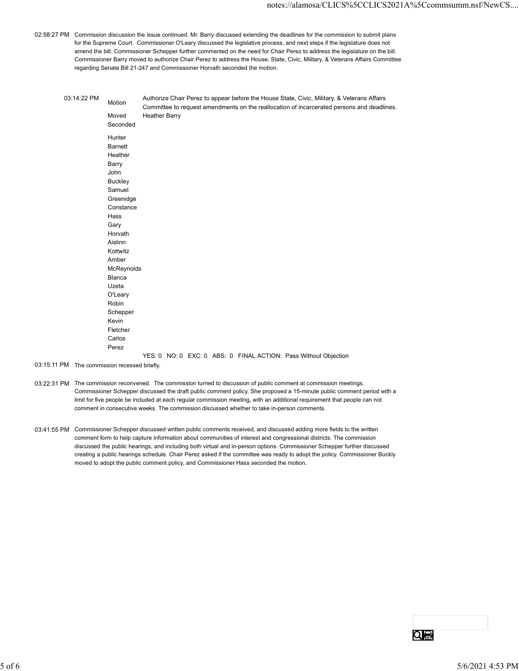02:58:27 PM Commission discussion the issue continued. Mr. Barry discussed extending the deadlines for the commission to submit plans for the Supreme Court. Commissioner O'Leary discussed the legislative process, and next steps if the legislature does not amend the bill. Commissioner Schepper further commented on the need for Chair Perez to address the legislature on the bill. Commissioner Barry moved to authorize Chair Perez to address the House, State, Civic, Military, & Veterans Affairs Committee regarding Senate Bill 21-247 and Commissioner Horvath seconded the motion.

|             |                                                                                                                                                                                                        | notes://alamosa/CLICS%5CCLICS2021A%5Ccommsumm.nsf/NewCS                                                                                                                                                                                                                                                                                                                                                                                                                                                                                                                                                  |
|-------------|--------------------------------------------------------------------------------------------------------------------------------------------------------------------------------------------------------|----------------------------------------------------------------------------------------------------------------------------------------------------------------------------------------------------------------------------------------------------------------------------------------------------------------------------------------------------------------------------------------------------------------------------------------------------------------------------------------------------------------------------------------------------------------------------------------------------------|
|             |                                                                                                                                                                                                        | 7 PM Commission discussion the issue continued. Mr. Barry discussed extending the deadlines for the commission to submit plans<br>for the Supreme Court. Commissioner O'Leary discussed the legislative process, and next steps if the legislature does not<br>amend the bill. Commissioner Schepper further commented on the need for Chair Perez to address the legislature on the bill.<br>Commissioner Barry moved to authorize Chair Perez to address the House, State, Civic, Military, & Veterans Affairs Committee<br>regarding Senate Bill 21-247 and Commissioner Horvath seconded the motion. |
| 03:14:22 PM | Motion<br>Moved<br>Seconded                                                                                                                                                                            | Authorize Chair Perez to appear before the House State, Civic, Military, & Veterans Affairs<br>Committee to request amendments on the reallocation of incarcerated persons and deadlines.<br><b>Heather Barry</b>                                                                                                                                                                                                                                                                                                                                                                                        |
|             | Hunter<br><b>Barnett</b><br>Heather<br>Barry<br>John<br><b>Buckley</b><br>Samuel<br>Greenidge<br>Constance<br>Hass<br>Gary<br>Horvath<br>Aislinn<br>Kottwitz<br>Amber<br>McReynolds<br>Blanca<br>Uzeta |                                                                                                                                                                                                                                                                                                                                                                                                                                                                                                                                                                                                          |
|             | O'Leary<br>Robin<br>Schepper<br>Kevin<br>Fletcher<br>Carlos<br>Perez                                                                                                                                   | YES: 0 NO: 0 EXC: 0 ABS: 0 FINAL ACTION: Pass Without Objection                                                                                                                                                                                                                                                                                                                                                                                                                                                                                                                                          |

- 03:15:11 PM The commission recessed briefly.
- 03:22:31 PM The commission reconvened. The commission turned to discussion of public comment at commission meetings. Commissioner Schepper discussed the draft public comment policy. She proposed a 15-minute public comment period with a limit for five people be included at each regular commission meeting, with an additional requirement that people can not comment in consecutive weeks. The commission discussed whether to take in-person comments.
- 03:41:55 PM Commissioner Schepper discussed written public comments received, and discussed adding more fields to the written comment form to help capture information about communities of interest and congressional districts. The commission discussed the public hearings, and including both virtual and in-person options. Commissioner Schepper further discussed creating a public hearings schedule. Chair Perez asked if the committee was ready to adopt the policy. Commissioner Buckly moved to adopt the public comment policy, and Commissioner Hass seconded the motion.  $\alpha$  of 6 bits behind a streament policy, and Commissioner Hass securities was insidy to about the public. Commissiones Social conditions of the public Commission of the public Commission of the public Commission of the p